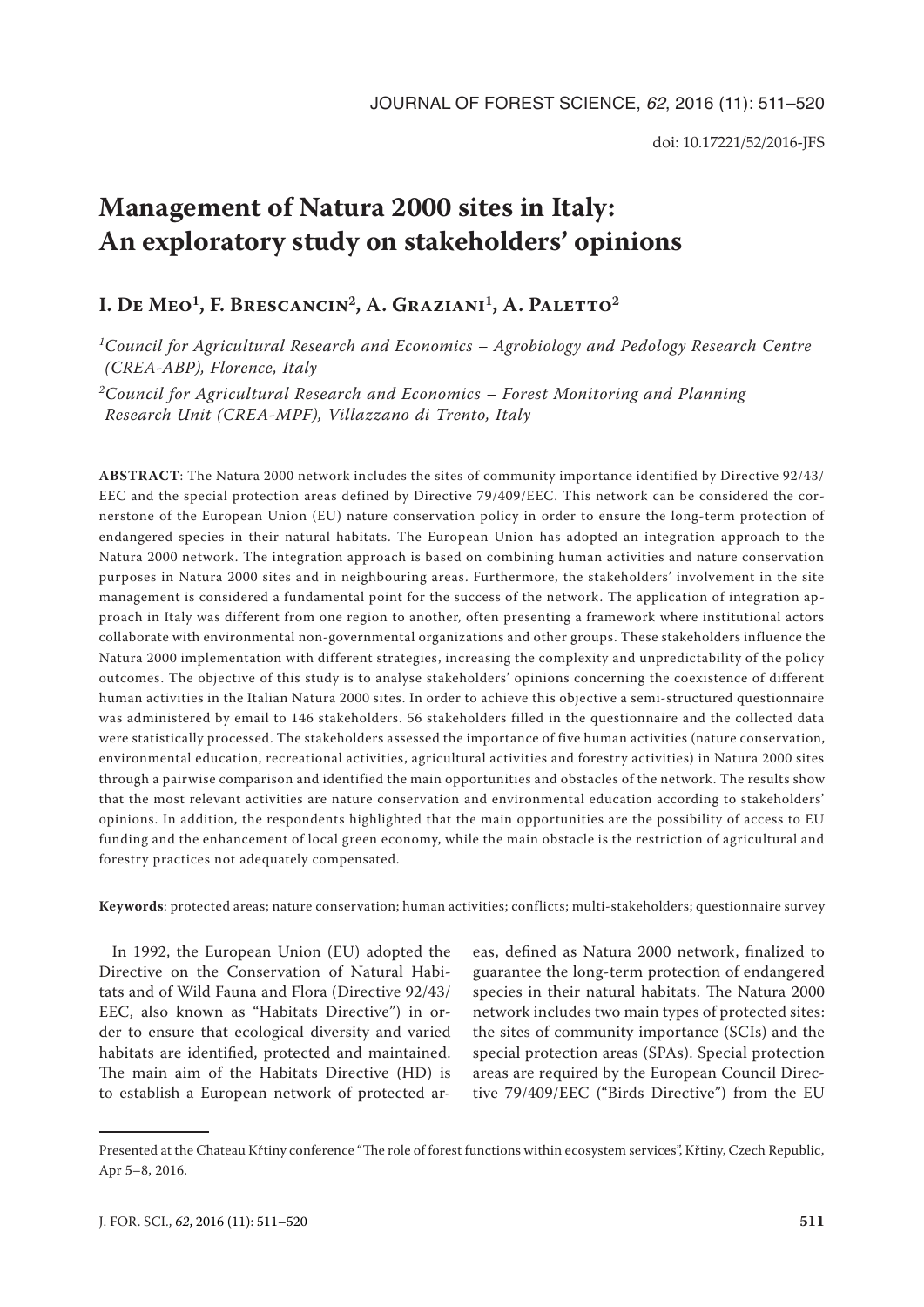# **Management of Natura 2000 sites in Italy: An exploratory study on stakeholders' opinions**

# **I. De Meo<sup>1</sup>, F. Brescancin<sup>2</sup>, A. Graziani<sup>1</sup>, A. Paletto<sup>2</sup>**

*1Council for Agricultural Research and Economics – Agrobiology and Pedology Research Centre (CREA-ABP), Florence, Italy*

*2Council for Agricultural Research and Economics – Forest Monitoring and Planning Research Unit (CREA-MPF), Villazzano di Trento, Italy*

**ABSTRACT**: The Natura 2000 network includes the sites of community importance identified by Directive 92/43/ EEC and the special protection areas defined by Directive 79/409/EEC. This network can be considered the cornerstone of the European Union (EU) nature conservation policy in order to ensure the long-term protection of endangered species in their natural habitats. The European Union has adopted an integration approach to the Natura 2000 network. The integration approach is based on combining human activities and nature conservation purposes in Natura 2000 sites and in neighbouring areas. Furthermore, the stakeholders' involvement in the site management is considered a fundamental point for the success of the network. The application of integration approach in Italy was different from one region to another, often presenting a framework where institutional actors collaborate with environmental non-governmental organizations and other groups. These stakeholders influence the Natura 2000 implementation with different strategies, increasing the complexity and unpredictability of the policy outcomes. The objective of this study is to analyse stakeholders' opinions concerning the coexistence of different human activities in the Italian Natura 2000 sites. In order to achieve this objective a semi-structured questionnaire was administered by email to 146 stakeholders. 56 stakeholders filled in the questionnaire and the collected data were statistically processed. The stakeholders assessed the importance of five human activities (nature conservation, environmental education, recreational activities, agricultural activities and forestry activities) in Natura 2000 sites through a pairwise comparison and identified the main opportunities and obstacles of the network. The results show that the most relevant activities are nature conservation and environmental education according to stakeholders' opinions. In addition, the respondents highlighted that the main opportunities are the possibility of access to EU funding and the enhancement of local green economy, while the main obstacle is the restriction of agricultural and forestry practices not adequately compensated.

**Keywords**: protected areas; nature conservation; human activities; conflicts; multi-stakeholders; questionnaire survey

In 1992, the European Union (EU) adopted the Directive on the Conservation of Natural Habitats and of Wild Fauna and Flora (Directive 92/43/ EEC, also known as "Habitats Directive") in order to ensure that ecological diversity and varied habitats are identified, protected and maintained. The main aim of the Habitats Directive (HD) is to establish a European network of protected ar-

eas, defined as Natura 2000 network, finalized to guarantee the long-term protection of endangered species in their natural habitats. The Natura 2000 network includes two main types of protected sites: the sites of community importance (SCIs) and the special protection areas (SPAs). Special protection areas are required by the European Council Directive 79/409/EEC ("Birds Directive") from the EU

Presented at the Chateau Křtiny conference "The role of forest functions within ecosystem services", Křtiny, Czech Republic, Apr 5–8, 2016.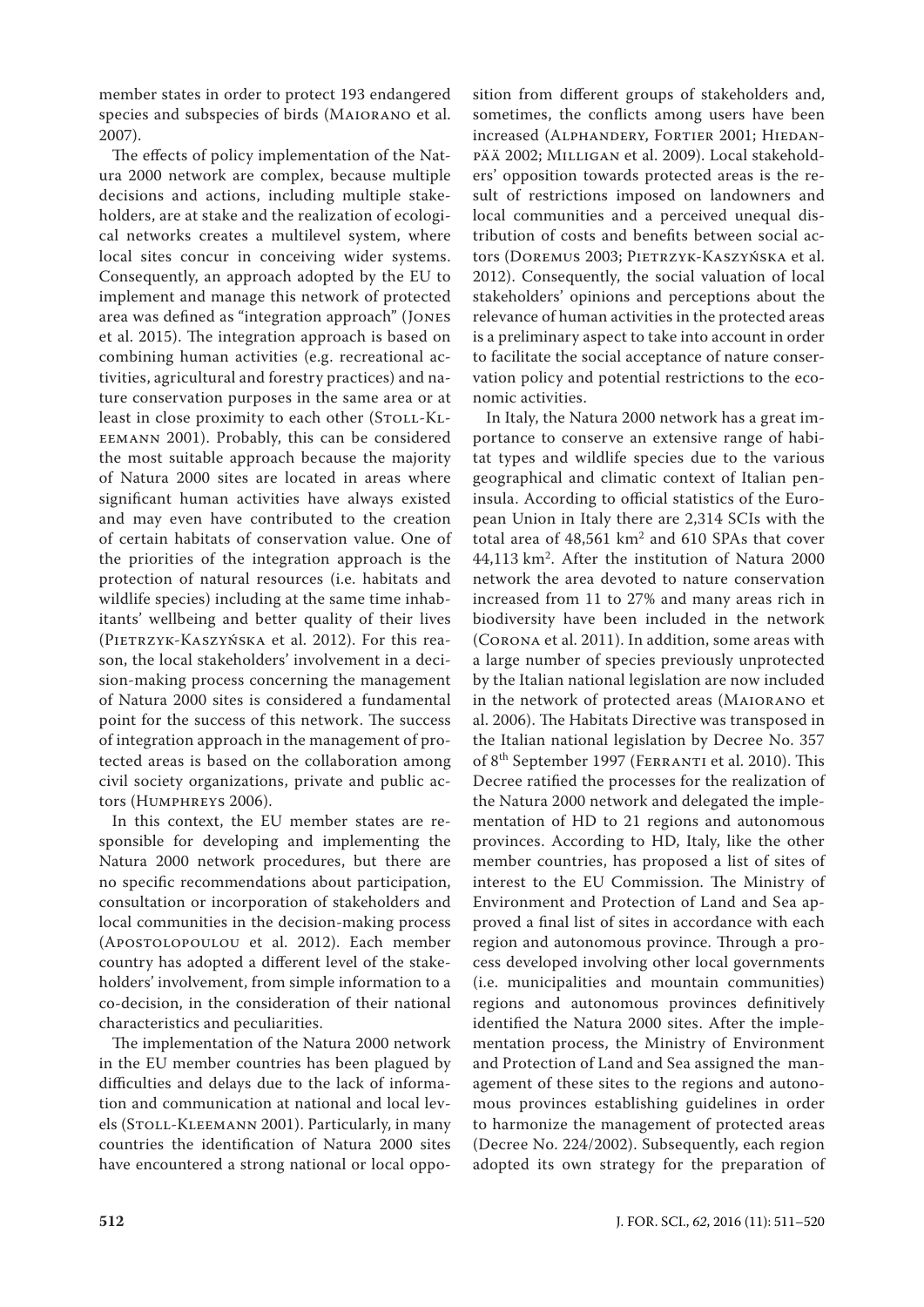member states in order to protect 193 endangered species and subspecies of birds (Maiorano et al. 2007).

The effects of policy implementation of the Natura 2000 network are complex, because multiple decisions and actions, including multiple stakeholders, are at stake and the realization of ecological networks creates a multilevel system, where local sites concur in conceiving wider systems. Consequently, an approach adopted by the EU to implement and manage this network of protected area was defined as "integration approach" (Jones et al. 2015). The integration approach is based on combining human activities (e.g. recreational activities, agricultural and forestry practices) and nature conservation purposes in the same area or at least in close proximity to each other (STOLL-KLeemann 2001). Probably, this can be considered the most suitable approach because the majority of Natura 2000 sites are located in areas where significant human activities have always existed and may even have contributed to the creation of certain habitats of conservation value. One of the priorities of the integration approach is the protection of natural resources (i.e. habitats and wildlife species) including at the same time inhabitants' wellbeing and better quality of their lives (Pietrzyk-Kaszyńska et al. 2012). For this reason, the local stakeholders' involvement in a decision-making process concerning the management of Natura 2000 sites is considered a fundamental point for the success of this network. The success of integration approach in the management of protected areas is based on the collaboration among civil society organizations, private and public actors (Humphreys 2006).

In this context, the EU member states are responsible for developing and implementing the Natura 2000 network procedures, but there are no specific recommendations about participation, consultation or incorporation of stakeholders and local communities in the decision-making process (Apostolopoulou et al. 2012). Each member country has adopted a different level of the stakeholders' involvement, from simple information to a co-decision, in the consideration of their national characteristics and peculiarities.

The implementation of the Natura 2000 network in the EU member countries has been plagued by difficulties and delays due to the lack of information and communication at national and local levels (Stoll-Kleemann 2001). Particularly, in many countries the identification of Natura 2000 sites have encountered a strong national or local oppo-

sition from different groups of stakeholders and, sometimes, the conflicts among users have been increased (ALPHANDERY, FORTIER 2001; HIEDANpää 2002; Milligan et al. 2009). Local stakeholders' opposition towards protected areas is the result of restrictions imposed on landowners and local communities and a perceived unequal distribution of costs and benefits between social actors (Doremus 2003; Pietrzyk-Kaszyńska et al. 2012). Consequently, the social valuation of local stakeholders' opinions and perceptions about the relevance of human activities in the protected areas is a preliminary aspect to take into account in order to facilitate the social acceptance of nature conservation policy and potential restrictions to the economic activities.

In Italy, the Natura 2000 network has a great importance to conserve an extensive range of habitat types and wildlife species due to the various geographical and climatic context of Italian peninsula. According to official statistics of the European Union in Italy there are 2,314 SCIs with the total area of 48,561 km2 and 610 SPAs that cover 44,113 km2. After the institution of Natura 2000 network the area devoted to nature conservation increased from 11 to 27% and many areas rich in biodiversity have been included in the network (Corona et al. 2011). In addition, some areas with a large number of species previously unprotected by the Italian national legislation are now included in the network of protected areas (Maiorano et al. 2006). The Habitats Directive was transposed in the Italian national legislation by Decree No. 357 of 8th September 1997 (Ferranti et al. 2010). This Decree ratified the processes for the realization of the Natura 2000 network and delegated the implementation of HD to 21 regions and autonomous provinces. According to HD, Italy, like the other member countries, has proposed a list of sites of interest to the EU Commission. The Ministry of Environment and Protection of Land and Sea approved a final list of sites in accordance with each region and autonomous province. Through a process developed involving other local governments (i.e. municipalities and mountain communities) regions and autonomous provinces definitively identified the Natura 2000 sites. After the implementation process, the Ministry of Environment and Protection of Land and Sea assigned the management of these sites to the regions and autonomous provinces establishing guidelines in order to harmonize the management of protected areas (Decree No. 224/2002). Subsequently, each region adopted its own strategy for the preparation of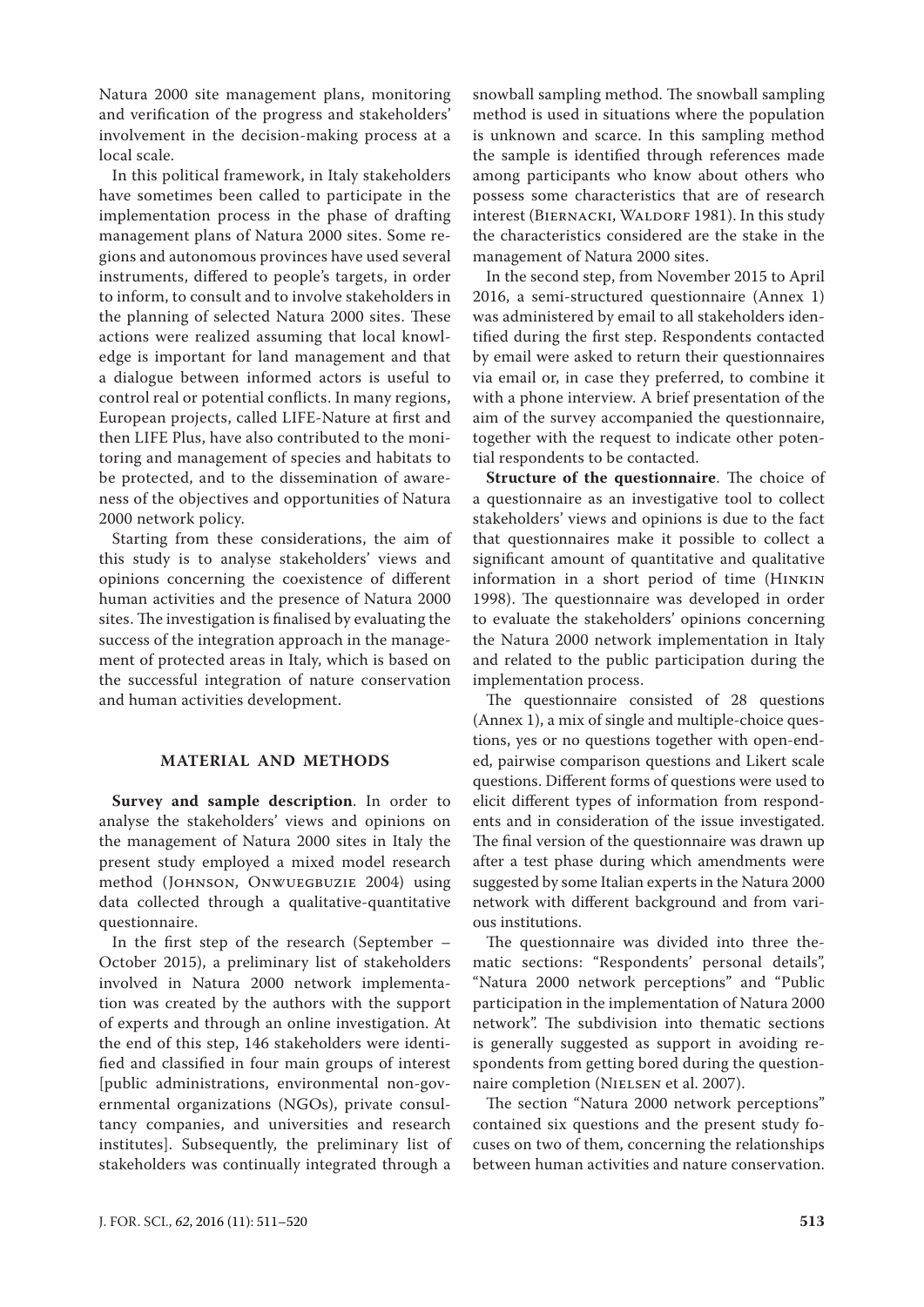Natura 2000 site management plans, monitoring and verification of the progress and stakeholders' involvement in the decision-making process at a local scale.

In this political framework, in Italy stakeholders have sometimes been called to participate in the implementation process in the phase of drafting management plans of Natura 2000 sites. Some regions and autonomous provinces have used several instruments, differed to people's targets, in order to inform, to consult and to involve stakeholders in the planning of selected Natura 2000 sites. These actions were realized assuming that local knowledge is important for land management and that a dialogue between informed actors is useful to control real or potential conflicts. In many regions, European projects, called LIFE-Nature at first and then LIFE Plus, have also contributed to the monitoring and management of species and habitats to be protected, and to the dissemination of awareness of the objectives and opportunities of Natura 2000 network policy.

Starting from these considerations, the aim of this study is to analyse stakeholders' views and opinions concerning the coexistence of different human activities and the presence of Natura 2000 sites. The investigation is finalised by evaluating the success of the integration approach in the management of protected areas in Italy, which is based on the successful integration of nature conservation and human activities development.

## **MATERIAL AND METHODS**

**Survey and sample description**. In order to analyse the stakeholders' views and opinions on the management of Natura 2000 sites in Italy the present study employed a mixed model research method (JOHNSON, ONWUEGBUZIE 2004) using data collected through a qualitative-quantitative questionnaire.

In the first step of the research (September – October 2015), a preliminary list of stakeholders involved in Natura 2000 network implementation was created by the authors with the support of experts and through an online investigation. At the end of this step, 146 stakeholders were identified and classified in four main groups of interest [public administrations, environmental non-governmental organizations (NGOs), private consultancy companies, and universities and research institutes]. Subsequently, the preliminary list of stakeholders was continually integrated through a

snowball sampling method. The snowball sampling method is used in situations where the population is unknown and scarce. In this sampling method the sample is identified through references made among participants who know about others who possess some characteristics that are of research interest (BIERNACKI, WALDORF 1981). In this study the characteristics considered are the stake in the management of Natura 2000 sites.

In the second step, from November 2015 to April 2016, a semi-structured questionnaire ([Annex 1](http://www.agriculturejournals.cz/uniqueFiles/201293.pdf)) was administered by email to all stakeholders identified during the first step. Respondents contacted by email were asked to return their questionnaires via email or, in case they preferred, to combine it with a phone interview. A brief presentation of the aim of the survey accompanied the questionnaire, together with the request to indicate other potential respondents to be contacted.

**Structure of the questionnaire**. The choice of a questionnaire as an investigative tool to collect stakeholders' views and opinions is due to the fact that questionnaires make it possible to collect a significant amount of quantitative and qualitative information in a short period of time (Hinkin 1998). The questionnaire was developed in order to evaluate the stakeholders' opinions concerning the Natura 2000 network implementation in Italy and related to the public participation during the implementation process.

The questionnaire consisted of 28 questions [\(Annex 1\)](http://www.agriculturejournals.cz/uniqueFiles/201293.pdf), a mix of single and multiple-choice questions, yes or no questions together with open-ended, pairwise comparison questions and Likert scale questions. Different forms of questions were used to elicit different types of information from respondents and in consideration of the issue investigated. The final version of the questionnaire was drawn up after a test phase during which amendments were suggested by some Italian experts in the Natura 2000 network with different background and from various institutions.

The questionnaire was divided into three thematic sections: "Respondents' personal details", "Natura 2000 network perceptions" and "Public participation in the implementation of Natura 2000 network". The subdivision into thematic sections is generally suggested as support in avoiding respondents from getting bored during the questionnaire completion (Nielsen et al. 2007).

The section "Natura 2000 network perceptions" contained six questions and the present study focuses on two of them, concerning the relationships between human activities and nature conservation.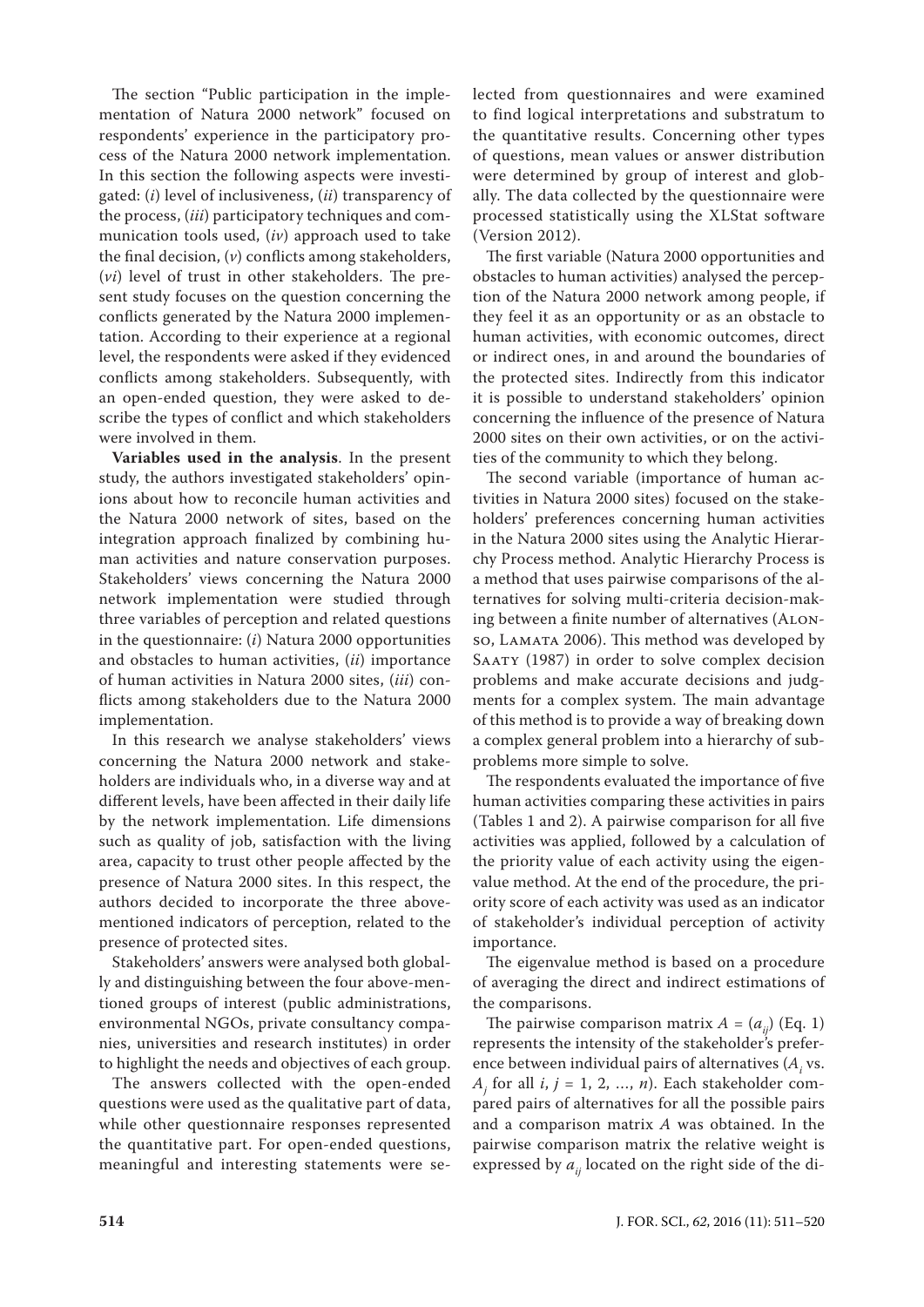The section "Public participation in the implementation of Natura 2000 network" focused on respondents' experience in the participatory process of the Natura 2000 network implementation. In this section the following aspects were investigated: (*i*) level of inclusiveness, (*ii*) transparency of the process, (*iii*) participatory techniques and communication tools used, (*iv*) approach used to take the final decision, (*v*) conflicts among stakeholders, (*vi*) level of trust in other stakeholders. The present study focuses on the question concerning the conflicts generated by the Natura 2000 implementation. According to their experience at a regional level, the respondents were asked if they evidenced conflicts among stakeholders. Subsequently, with an open-ended question, they were asked to describe the types of conflict and which stakeholders were involved in them.

**Variables used in the analysis**. In the present study, the authors investigated stakeholders' opinions about how to reconcile human activities and the Natura 2000 network of sites, based on the integration approach finalized by combining human activities and nature conservation purposes. Stakeholders' views concerning the Natura 2000 network implementation were studied through three variables of perception and related questions in the questionnaire: (*i*) Natura 2000 opportunities and obstacles to human activities, (*ii*) importance of human activities in Natura 2000 sites, (*iii*) conflicts among stakeholders due to the Natura 2000 implementation.

In this research we analyse stakeholders' views concerning the Natura 2000 network and stakeholders are individuals who, in a diverse way and at different levels, have been affected in their daily life by the network implementation. Life dimensions such as quality of job, satisfaction with the living area, capacity to trust other people affected by the presence of Natura 2000 sites. In this respect, the authors decided to incorporate the three abovementioned indicators of perception, related to the presence of protected sites.

Stakeholders' answers were analysed both globally and distinguishing between the four above-mentioned groups of interest (public administrations, environmental NGOs, private consultancy companies, universities and research institutes) in order to highlight the needs and objectives of each group.

The answers collected with the open-ended questions were used as the qualitative part of data, while other questionnaire responses represented the quantitative part. For open-ended questions, meaningful and interesting statements were selected from questionnaires and were examined to find logical interpretations and substratum to the quantitative results. Concerning other types of questions, mean values or answer distribution were determined by group of interest and globally. The data collected by the questionnaire were processed statistically using the XLStat software (Version 2012).

The first variable (Natura 2000 opportunities and obstacles to human activities) analysed the perception of the Natura 2000 network among people, if they feel it as an opportunity or as an obstacle to human activities, with economic outcomes, direct or indirect ones, in and around the boundaries of the protected sites. Indirectly from this indicator it is possible to understand stakeholders' opinion concerning the influence of the presence of Natura 2000 sites on their own activities, or on the activities of the community to which they belong.

The second variable (importance of human activities in Natura 2000 sites) focused on the stakeholders' preferences concerning human activities in the Natura 2000 sites using the Analytic Hierarchy Process method. Analytic Hierarchy Process is a method that uses pairwise comparisons of the alternatives for solving multi-criteria decision-making between a finite number of alternatives (Alonso, LAMATA 2006). This method was developed by SAATY (1987) in order to solve complex decision problems and make accurate decisions and judgments for a complex system. The main advantage of this method is to provide a way of breaking down a complex general problem into a hierarchy of subproblems more simple to solve.

The respondents evaluated the importance of five human activities comparing these activities in pairs (Tables 1 and 2). A pairwise comparison for all five activities was applied, followed by a calculation of the priority value of each activity using the eigenvalue method. At the end of the procedure, the priority score of each activity was used as an indicator of stakeholder's individual perception of activity importance.

The eigenvalue method is based on a procedure of averaging the direct and indirect estimations of the comparisons.

The pairwise comparison matrix  $A = (a_{ij})$  (Eq. 1) represents the intensity of the stakeholder's preference between individual pairs of alternatives  $(A_i)$  vs. *Aj* for all *i*, *j* = 1, 2, …, *n*). Each stakeholder compared pairs of alternatives for all the possible pairs and a comparison matrix *A* was obtained. In the pairwise comparison matrix the relative weight is expressed by  $a_{ii}$  located on the right side of the di-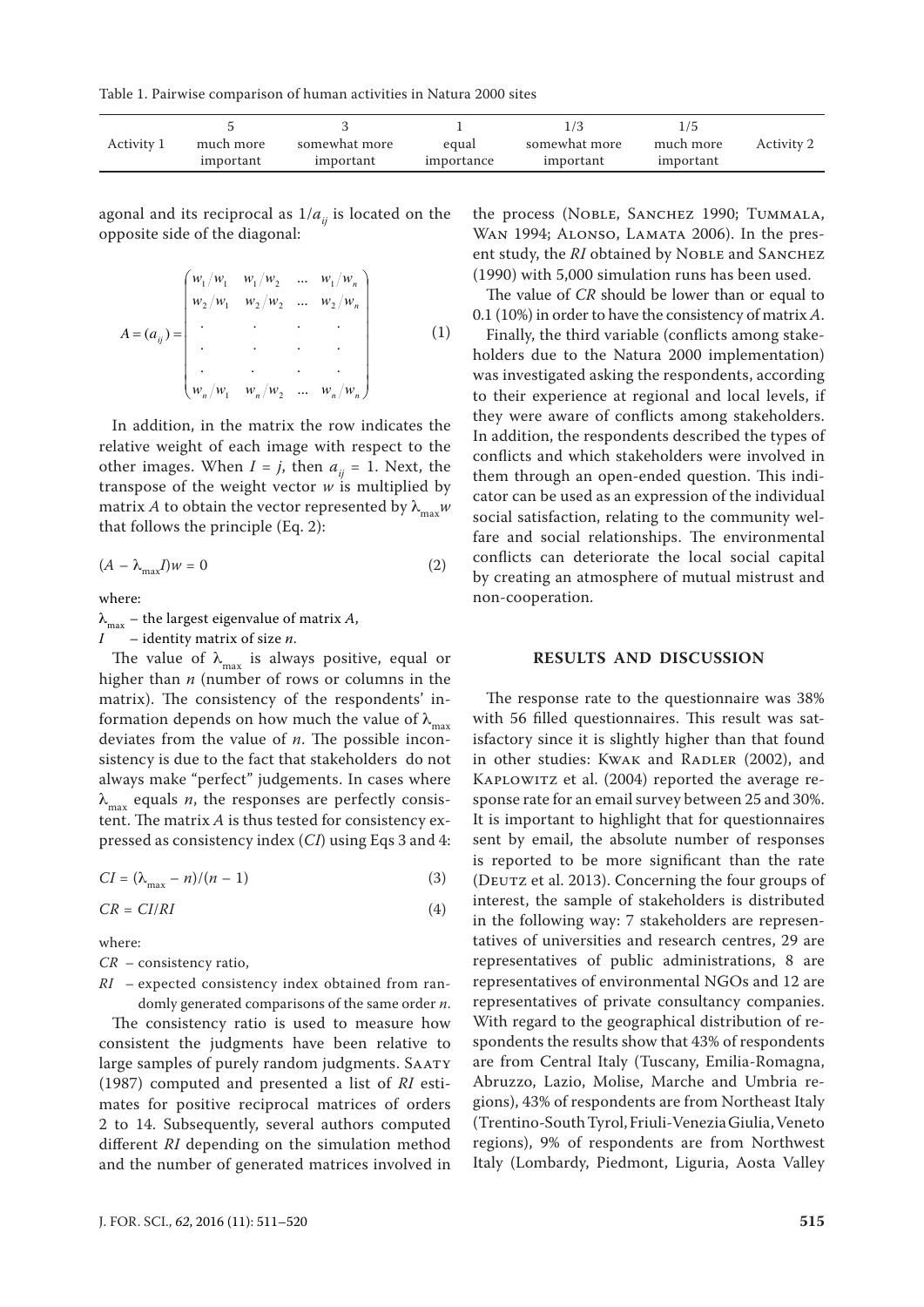Table 1. Pairwise comparison of human activities in Natura 2000 sites

| Activity 1 | much more | somewhat more | equal      | somewhat more | much more | Activity 2 |
|------------|-----------|---------------|------------|---------------|-----------|------------|
|            | important | important     | importance | important     | important |            |

agonal and its reciprocal as  $1/a_{ii}$  is located on the opposite side of the diagonal:

$$
A = (a_{ij}) = \begin{pmatrix} w_1/w_1 & w_1/w_2 & \dots & w_1/w_n \\ w_2/w_1 & w_2/w_2 & \dots & w_2/w_n \\ \vdots & \vdots & \ddots & \vdots \\ w_n/w_1 & w_n/w_2 & \dots & w_n/w_n \end{pmatrix}
$$
 (1)

In addition, in the matrix the row indicates the relative weight of each image with respect to the other images. When  $I = j$ , then  $a_{ii} = 1$ . Next, the transpose of the weight vector *w* is multiplied by matrix *A* to obtain the vector represented by  $\lambda_{\text{max}} w$ that follows the principle (Eq. 2):

$$
(A - \lambda_{\text{max}} I)w = 0 \tag{2}
$$

where:

 $\lambda_{\text{max}}$  – the largest eigenvalue of matrix *A*,

*I* – identity matrix of size *n*.

The value of  $\lambda_{\text{max}}$  is always positive, equal or higher than *n* (number of rows or columns in the matrix). The consistency of the respondents' information depends on how much the value of  $\lambda_{\text{max}}$ deviates from the value of *n*. The possible inconsistency is due to the fact that stakeholders do not always make "perfect" judgements. In cases where  $\lambda_{\text{max}}$  equals *n*, the responses are perfectly consistent. The matrix *A* is thus tested for consistency expressed as consistency index (*CI*) using Eqs 3 and 4:

$$
CI = (\lambda_{\text{max}} - n)/(n - 1) \tag{3}
$$

$$
CR = CI/RI \tag{4}
$$

where:

- *CR* consistency ratio,
- *RI* expected consistency index obtained from randomly generated comparisons of the same order *n*.

The consistency ratio is used to measure how consistent the judgments have been relative to large samples of purely random judgments. Saaty (1987) computed and presented a list of *RI* estimates for positive reciprocal matrices of orders 2 to 14. Subsequently, several authors computed different *RI* depending on the simulation method and the number of generated matrices involved in the process (Noble, Sanchez 1990; Tummala, WAN 1994; ALONSO, LAMATA 2006). In the present study, the *RI* obtained by NOBLE and SANCHEZ (1990) with 5,000 simulation runs has been used.

The value of *CR* should be lower than or equal to 0.1 (10%) in order to have the consistency of matrix *A*.

Finally, the third variable (conflicts among stakeholders due to the Natura 2000 implementation) was investigated asking the respondents, according to their experience at regional and local levels, if they were aware of conflicts among stakeholders. In addition, the respondents described the types of conflicts and which stakeholders were involved in them through an open-ended question. This indicator can be used as an expression of the individual social satisfaction, relating to the community welfare and social relationships. The environmental conflicts can deteriorate the local social capital by creating an atmosphere of mutual mistrust and non-cooperation.

#### **RESULTS AND DISCUSSION**

The response rate to the questionnaire was 38% with 56 filled questionnaires. This result was satisfactory since it is slightly higher than that found in other studies: Kwak and RADLER (2002), and Kaplowitz et al. (2004) reported the average response rate for an email survey between 25 and 30%. It is important to highlight that for questionnaires sent by email, the absolute number of responses is reported to be more significant than the rate (DEUTZ et al. 2013). Concerning the four groups of interest, the sample of stakeholders is distributed in the following way: 7 stakeholders are representatives of universities and research centres, 29 are representatives of public administrations, 8 are representatives of environmental NGOs and 12 are representatives of private consultancy companies. With regard to the geographical distribution of respondents the results show that 43% of respondents are from Central Italy (Tuscany, Emilia-Romagna, Abruzzo, Lazio, Molise, Marche and Umbria regions), 43% of respondents are from Northeast Italy (Trentino-South Tyrol, Friuli-Venezia Giulia, Veneto regions), 9% of respondents are from Northwest Italy (Lombardy, Piedmont, Liguria, Aosta Valley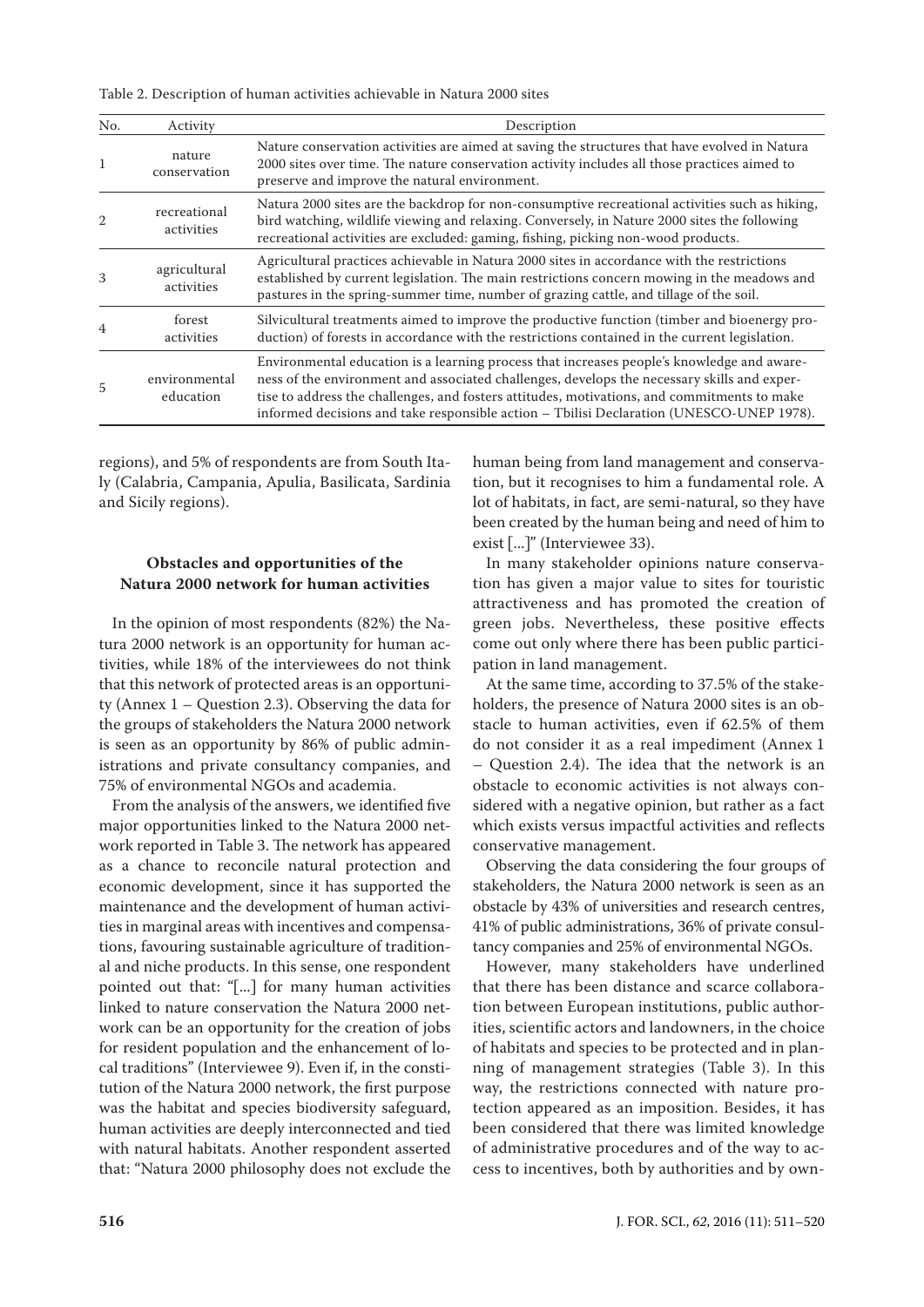Table 2. Description of human activities achievable in Natura 2000 sites

| No.            | Activity                   | Description                                                                                                                                                                                                                                                                                                                                                                          |
|----------------|----------------------------|--------------------------------------------------------------------------------------------------------------------------------------------------------------------------------------------------------------------------------------------------------------------------------------------------------------------------------------------------------------------------------------|
| 1              | nature<br>conservation     | Nature conservation activities are aimed at saving the structures that have evolved in Natura<br>2000 sites over time. The nature conservation activity includes all those practices aimed to<br>preserve and improve the natural environment.                                                                                                                                       |
| $\overline{2}$ | recreational<br>activities | Natura 2000 sites are the backdrop for non-consumptive recreational activities such as hiking,<br>bird watching, wildlife viewing and relaxing. Conversely, in Nature 2000 sites the following<br>recreational activities are excluded: gaming, fishing, picking non-wood products.                                                                                                  |
| 3              | agricultural<br>activities | Agricultural practices achievable in Natura 2000 sites in accordance with the restrictions<br>established by current legislation. The main restrictions concern mowing in the meadows and<br>pastures in the spring-summer time, number of grazing cattle, and tillage of the soil.                                                                                                  |
|                | forest<br>activities       | Silvicultural treatments aimed to improve the productive function (timber and bioenergy pro-<br>duction) of forests in accordance with the restrictions contained in the current legislation.                                                                                                                                                                                        |
| 5              | environmental<br>education | Environmental education is a learning process that increases people's knowledge and aware-<br>ness of the environment and associated challenges, develops the necessary skills and exper-<br>tise to address the challenges, and fosters attitudes, motivations, and commitments to make<br>informed decisions and take responsible action - Tbilisi Declaration (UNESCO-UNEP 1978). |

regions), and 5% of respondents are from South Italy (Calabria, Campania, Apulia, Basilicata, Sardinia and Sicily regions).

#### **Obstacles and opportunities of the Natura 2000 network for human activities**

In the opinion of most respondents (82%) the Natura 2000 network is an opportunity for human activities, while 18% of the interviewees do not think that this network of protected areas is an opportunity [\(Annex 1](http://www.agriculturejournals.cz/uniqueFiles/201293.pdf) – Question 2.3). Observing the data for the groups of stakeholders the Natura 2000 network is seen as an opportunity by 86% of public administrations and private consultancy companies, and 75% of environmental NGOs and academia.

From the analysis of the answers, we identified five major opportunities linked to the Natura 2000 network reported in Table 3. The network has appeared as a chance to reconcile natural protection and economic development, since it has supported the maintenance and the development of human activities in marginal areas with incentives and compensations, favouring sustainable agriculture of traditional and niche products. In this sense, one respondent pointed out that: "[...] for many human activities linked to nature conservation the Natura 2000 network can be an opportunity for the creation of jobs for resident population and the enhancement of local traditions" (Interviewee 9). Even if, in the constitution of the Natura 2000 network, the first purpose was the habitat and species biodiversity safeguard, human activities are deeply interconnected and tied with natural habitats. Another respondent asserted that: "Natura 2000 philosophy does not exclude the

human being from land management and conservation, but it recognises to him a fundamental role. A lot of habitats, in fact, are semi-natural, so they have been created by the human being and need of him to exist [...]" (Interviewee 33).

In many stakeholder opinions nature conservation has given a major value to sites for touristic attractiveness and has promoted the creation of green jobs. Nevertheless, these positive effects come out only where there has been public participation in land management.

At the same time, according to 37.5% of the stakeholders, the presence of Natura 2000 sites is an obstacle to human activities, even if 62.5% of them do not consider it as a real impediment [\(Annex](http://www.agriculturejournals.cz/uniqueFiles/201293.pdf) 1 – Question 2.4). The idea that the network is an obstacle to economic activities is not always considered with a negative opinion, but rather as a fact which exists versus impactful activities and reflects conservative management.

Observing the data considering the four groups of stakeholders, the Natura 2000 network is seen as an obstacle by 43% of universities and research centres, 41% of public administrations, 36% of private consultancy companies and 25% of environmental NGOs.

However, many stakeholders have underlined that there has been distance and scarce collaboration between European institutions, public authorities, scientific actors and landowners, in the choice of habitats and species to be protected and in planning of management strategies (Table 3). In this way, the restrictions connected with nature protection appeared as an imposition. Besides, it has been considered that there was limited knowledge of administrative procedures and of the way to access to incentives, both by authorities and by own-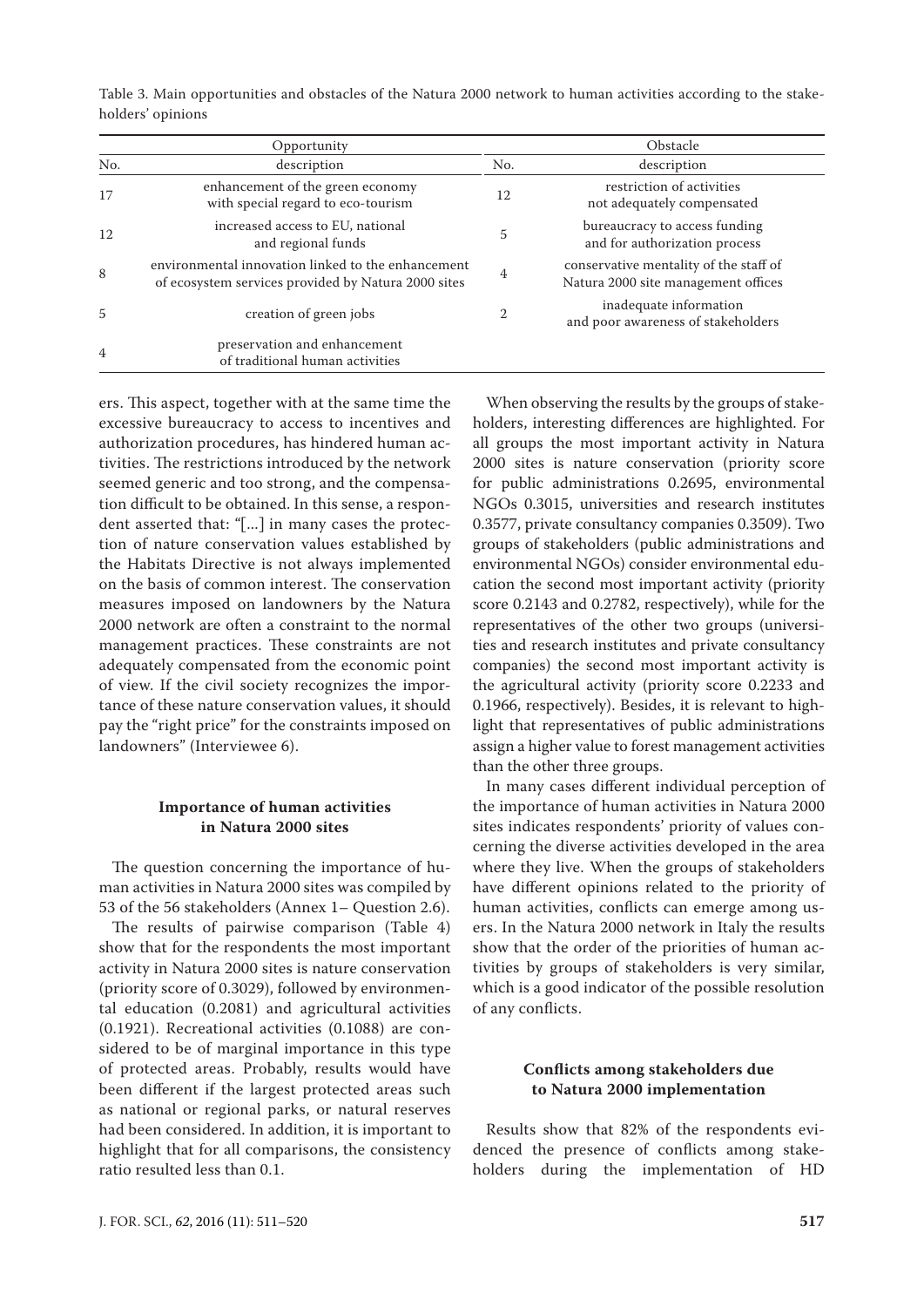| Opportunity    |                                                                                                           |                | Obstacle                                                                      |  |  |
|----------------|-----------------------------------------------------------------------------------------------------------|----------------|-------------------------------------------------------------------------------|--|--|
| No.            | description                                                                                               | No.            | description                                                                   |  |  |
| 17             | enhancement of the green economy<br>with special regard to eco-tourism                                    | 12             | restriction of activities<br>not adequately compensated                       |  |  |
| 12             | increased access to EU, national<br>and regional funds                                                    | 5              | bureaucracy to access funding<br>and for authorization process                |  |  |
| 8              | environmental innovation linked to the enhancement<br>of ecosystem services provided by Natura 2000 sites | 4              | conservative mentality of the staff of<br>Natura 2000 site management offices |  |  |
| 5              | creation of green jobs                                                                                    | $\overline{2}$ | inadequate information<br>and poor awareness of stakeholders                  |  |  |
| $\overline{4}$ | preservation and enhancement<br>of traditional human activities                                           |                |                                                                               |  |  |

Table 3. Main opportunities and obstacles of the Natura 2000 network to human activities according to the stakeholders' opinions

ers. This aspect, together with at the same time the excessive bureaucracy to access to incentives and authorization procedures, has hindered human activities. The restrictions introduced by the network seemed generic and too strong, and the compensation difficult to be obtained. In this sense, a respondent asserted that: "[...] in many cases the protection of nature conservation values established by the Habitats Directive is not always implemented on the basis of common interest. The conservation measures imposed on landowners by the Natura 2000 network are often a constraint to the normal management practices. These constraints are not adequately compensated from the economic point of view. If the civil society recognizes the importance of these nature conservation values, it should pay the "right price" for the constraints imposed on landowners" (Interviewee 6).

# **Importance of human activities in Natura 2000 sites**

The question concerning the importance of human activities in Natura 2000 sites was compiled by 53 of the 56 stakeholders ([Annex 1](http://www.agriculturejournals.cz/uniqueFiles/201293.pdf)– Question 2.6).

The results of pairwise comparison (Table 4) show that for the respondents the most important activity in Natura 2000 sites is nature conservation (priority score of 0.3029), followed by environmental education (0.2081) and agricultural activities (0.1921). Recreational activities (0.1088) are considered to be of marginal importance in this type of protected areas. Probably, results would have been different if the largest protected areas such as national or regional parks, or natural reserves had been considered. In addition, it is important to highlight that for all comparisons, the consistency ratio resulted less than 0.1.

When observing the results by the groups of stakeholders, interesting differences are highlighted. For all groups the most important activity in Natura 2000 sites is nature conservation (priority score for public administrations 0.2695, environmental NGOs 0.3015, universities and research institutes 0.3577, private consultancy companies 0.3509). Two groups of stakeholders (public administrations and environmental NGOs) consider environmental education the second most important activity (priority score 0.2143 and 0.2782, respectively), while for the representatives of the other two groups (universities and research institutes and private consultancy companies) the second most important activity is the agricultural activity (priority score 0.2233 and 0.1966, respectively). Besides, it is relevant to highlight that representatives of public administrations assign a higher value to forest management activities than the other three groups.

In many cases different individual perception of the importance of human activities in Natura 2000 sites indicates respondents' priority of values concerning the diverse activities developed in the area where they live. When the groups of stakeholders have different opinions related to the priority of human activities, conflicts can emerge among users. In the Natura 2000 network in Italy the results show that the order of the priorities of human activities by groups of stakeholders is very similar, which is a good indicator of the possible resolution of any conflicts.

# **Conflicts among stakeholders due to Natura 2000 implementation**

Results show that 82% of the respondents evidenced the presence of conflicts among stakeholders during the implementation of HD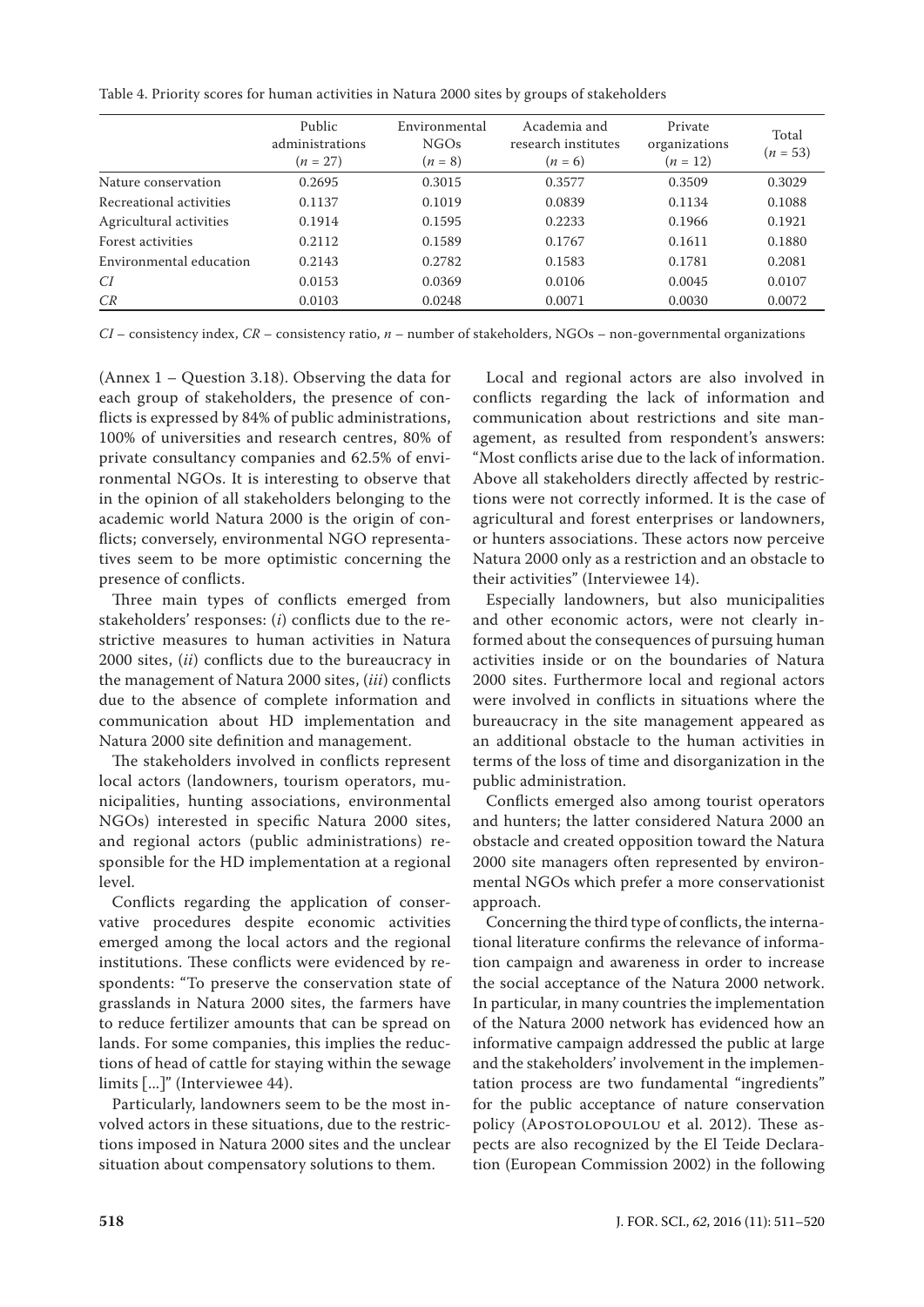Table 4. Priority scores for human activities in Natura 2000 sites by groups of stakeholders

|                         | Public<br>administrations<br>$(n = 27)$ | Environmental<br>NGOs<br>$(n = 8)$ | Academia and<br>research institutes<br>$(n = 6)$ | Private<br>organizations<br>$(n = 12)$ | Total<br>$(n = 53)$ |
|-------------------------|-----------------------------------------|------------------------------------|--------------------------------------------------|----------------------------------------|---------------------|
| Nature conservation     | 0.2695                                  | 0.3015                             | 0.3577                                           | 0.3509                                 | 0.3029              |
| Recreational activities | 0.1137                                  | 0.1019                             | 0.0839                                           | 0.1134                                 | 0.1088              |
| Agricultural activities | 0.1914                                  | 0.1595                             | 0.2233                                           | 0.1966                                 | 0.1921              |
| Forest activities       | 0.2112                                  | 0.1589                             | 0.1767                                           | 0.1611                                 | 0.1880              |
| Environmental education | 0.2143                                  | 0.2782                             | 0.1583                                           | 0.1781                                 | 0.2081              |
| СI                      | 0.0153                                  | 0.0369                             | 0.0106                                           | 0.0045                                 | 0.0107              |
| CR                      | 0.0103                                  | 0.0248                             | 0.0071                                           | 0.0030                                 | 0.0072              |

*CI* – consistency index, *CR* – consistency ratio, *n* – number of stakeholders, NGOs – non-governmental organizations

[\(Annex](http://www.agriculturejournals.cz/uniqueFiles/201293.pdf) 1 – Question 3.18). Observing the data for each group of stakeholders, the presence of conflicts is expressed by 84% of public administrations, 100% of universities and research centres, 80% of private consultancy companies and 62.5% of environmental NGOs. It is interesting to observe that in the opinion of all stakeholders belonging to the academic world Natura 2000 is the origin of conflicts; conversely, environmental NGO representatives seem to be more optimistic concerning the presence of conflicts.

Three main types of conflicts emerged from stakeholders' responses: (*i*) conflicts due to the restrictive measures to human activities in Natura 2000 sites, (*ii*) conflicts due to the bureaucracy in the management of Natura 2000 sites, (*iii*) conflicts due to the absence of complete information and communication about HD implementation and Natura 2000 site definition and management.

The stakeholders involved in conflicts represent local actors (landowners, tourism operators, municipalities, hunting associations, environmental NGOs) interested in specific Natura 2000 sites, and regional actors (public administrations) responsible for the HD implementation at a regional level.

Conflicts regarding the application of conservative procedures despite economic activities emerged among the local actors and the regional institutions. These conflicts were evidenced by respondents: "To preserve the conservation state of grasslands in Natura 2000 sites, the farmers have to reduce fertilizer amounts that can be spread on lands. For some companies, this implies the reductions of head of cattle for staying within the sewage limits [...]" (Interviewee 44).

Particularly, landowners seem to be the most involved actors in these situations, due to the restrictions imposed in Natura 2000 sites and the unclear situation about compensatory solutions to them.

Local and regional actors are also involved in conflicts regarding the lack of information and communication about restrictions and site management, as resulted from respondent's answers: "Most conflicts arise due to the lack of information. Above all stakeholders directly affected by restrictions were not correctly informed. It is the case of agricultural and forest enterprises or landowners, or hunters associations. These actors now perceive Natura 2000 only as a restriction and an obstacle to their activities" (Interviewee 14).

Especially landowners, but also municipalities and other economic actors, were not clearly informed about the consequences of pursuing human activities inside or on the boundaries of Natura 2000 sites. Furthermore local and regional actors were involved in conflicts in situations where the bureaucracy in the site management appeared as an additional obstacle to the human activities in terms of the loss of time and disorganization in the public administration.

Conflicts emerged also among tourist operators and hunters; the latter considered Natura 2000 an obstacle and created opposition toward the Natura 2000 site managers often represented by environmental NGOs which prefer a more conservationist approach.

Concerning the third type of conflicts, the international literature confirms the relevance of information campaign and awareness in order to increase the social acceptance of the Natura 2000 network. In particular, in many countries the implementation of the Natura 2000 network has evidenced how an informative campaign addressed the public at large and the stakeholders' involvement in the implementation process are two fundamental "ingredients" for the public acceptance of nature conservation policy (APOSTOLOPOULOU et al. 2012). These aspects are also recognized by the El Teide Declaration (European Commission 2002) in the following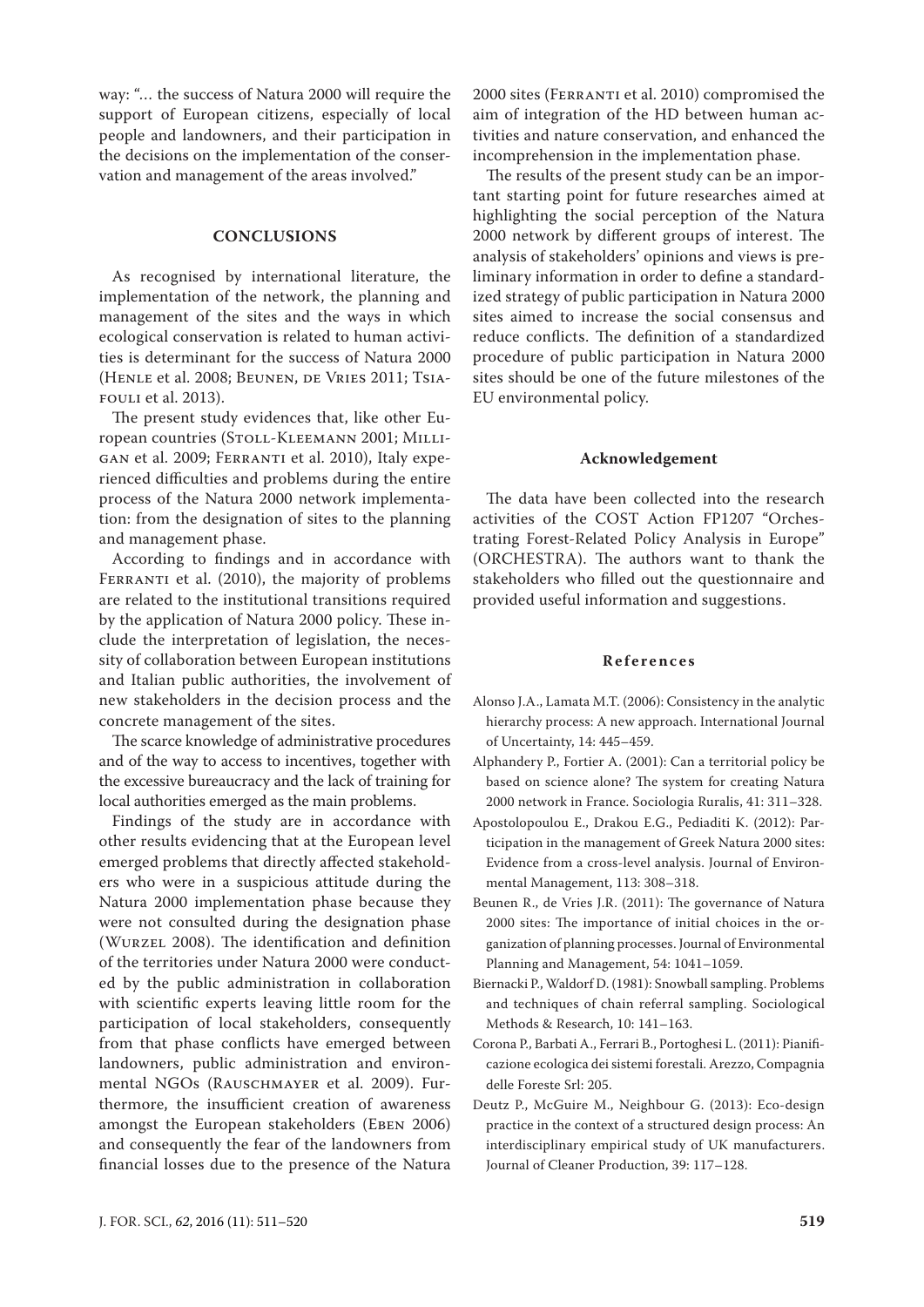way: "… the success of Natura 2000 will require the support of European citizens, especially of local people and landowners, and their participation in the decisions on the implementation of the conservation and management of the areas involved."

## **CONCLUSIONS**

As recognised by international literature, the implementation of the network, the planning and management of the sites and the ways in which ecological conservation is related to human activities is determinant for the success of Natura 2000 (Henle et al. 2008; Beunen, de Vries 2011; Tsiafouli et al. 2013).

The present study evidences that, like other European countries (STOLL-KLEEMANN 2001; MILLIgan et al. 2009; Ferranti et al. 2010), Italy experienced difficulties and problems during the entire process of the Natura 2000 network implementation: from the designation of sites to the planning and management phase.

According to findings and in accordance with FERRANTI et al. (2010), the majority of problems are related to the institutional transitions required by the application of Natura 2000 policy. These include the interpretation of legislation, the necessity of collaboration between European institutions and Italian public authorities, the involvement of new stakeholders in the decision process and the concrete management of the sites.

The scarce knowledge of administrative procedures and of the way to access to incentives, together with the excessive bureaucracy and the lack of training for local authorities emerged as the main problems.

Findings of the study are in accordance with other results evidencing that at the European level emerged problems that directly affected stakeholders who were in a suspicious attitude during the Natura 2000 implementation phase because they were not consulted during the designation phase (Wurzel 2008). The identification and definition of the territories under Natura 2000 were conducted by the public administration in collaboration with scientific experts leaving little room for the participation of local stakeholders, consequently from that phase conflicts have emerged between landowners, public administration and environmental NGOs (RAUSCHMAYER et al. 2009). Furthermore, the insufficient creation of awareness amongst the European stakeholders (EBEN 2006) and consequently the fear of the landowners from financial losses due to the presence of the Natura

2000 sites (Ferranti et al. 2010) compromised the aim of integration of the HD between human activities and nature conservation, and enhanced the incomprehension in the implementation phase.

The results of the present study can be an important starting point for future researches aimed at highlighting the social perception of the Natura 2000 network by different groups of interest. The analysis of stakeholders' opinions and views is preliminary information in order to define a standardized strategy of public participation in Natura 2000 sites aimed to increase the social consensus and reduce conflicts. The definition of a standardized procedure of public participation in Natura 2000 sites should be one of the future milestones of the EU environmental policy.

#### **Acknowledgement**

The data have been collected into the research activities of the COST Action FP1207 "Orchestrating Forest-Related Policy Analysis in Europe" (ORCHESTRA). The authors want to thank the stakeholders who filled out the questionnaire and provided useful information and suggestions.

#### **References**

- Alonso J.A., Lamata M.T. (2006): Consistency in the analytic hierarchy process: A new approach. International Journal of Uncertainty, 14: 445–459.
- Alphandery P., Fortier A. (2001): Can a territorial policy be based on science alone? The system for creating Natura 2000 network in France. Sociologia Ruralis, 41: 311–328.
- Apostolopoulou E., Drakou E.G., Pediaditi K. (2012): Participation in the management of Greek Natura 2000 sites: Evidence from a cross-level analysis. Journal of Environmental Management, 113: 308–318.
- Beunen R., de Vries J.R. (2011): The governance of Natura 2000 sites: The importance of initial choices in the organization of planning processes. Journal of Environmental Planning and Management, 54: 1041–1059.
- Biernacki P., Waldorf D. (1981): Snowball sampling. Problems and techniques of chain referral sampling. Sociological Methods & Research, 10: 141–163.
- Corona P., Barbati A., Ferrari B., Portoghesi L. (2011): Pianificazione ecologica dei sistemi forestali. Arezzo, Compagnia delle Foreste Srl: 205.
- Deutz P., McGuire M., Neighbour G. (2013): Eco-design practice in the context of a structured design process: An interdisciplinary empirical study of UK manufacturers. Journal of Cleaner Production, 39: 117–128.